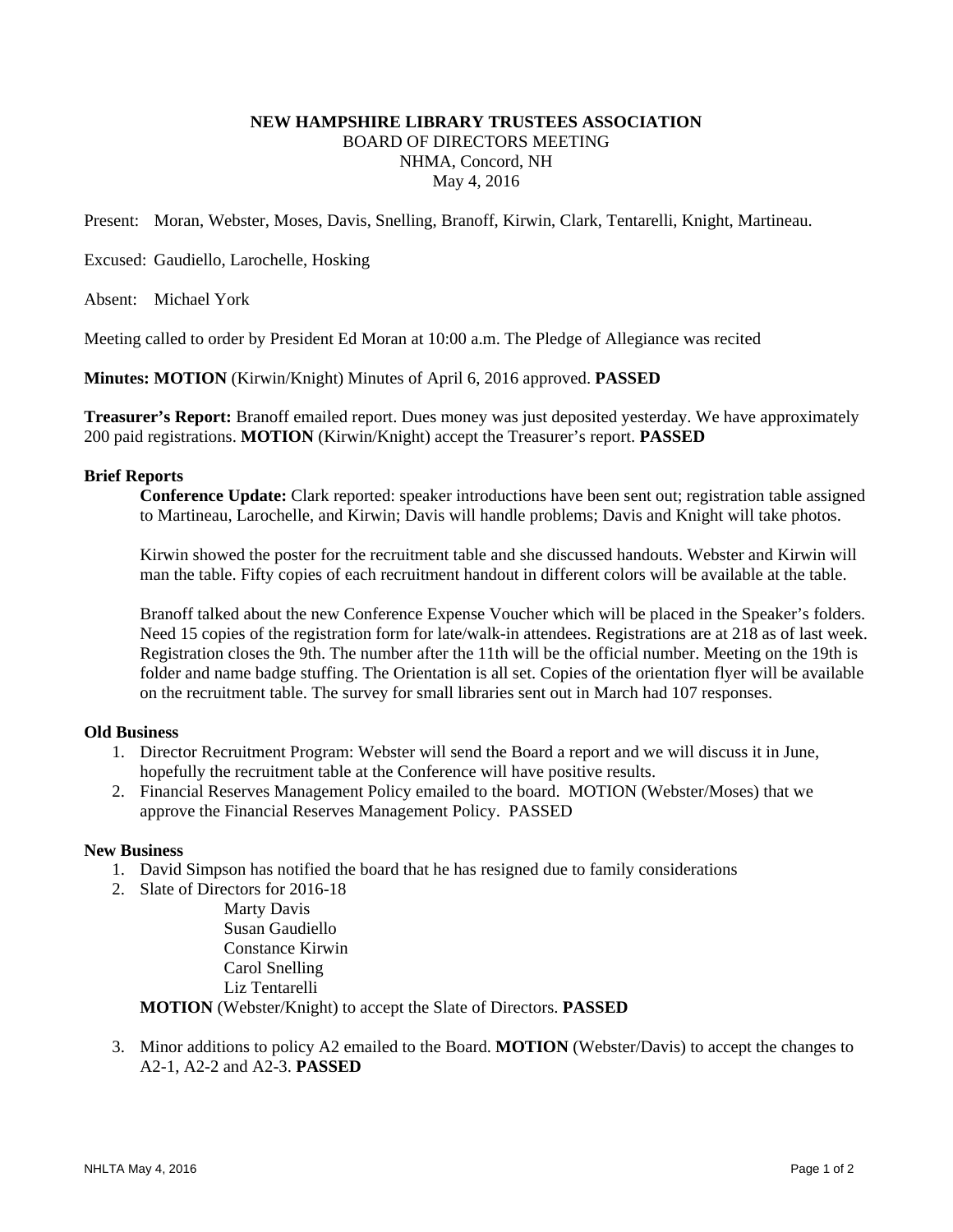# **NEW HAMPSHIRE LIBRARY TRUSTEES ASSOCIATION**  BOARD OF DIRECTORS MEETING NHMA, Concord, NH May 4, 2016

Present: Moran, Webster, Moses, Davis, Snelling, Branoff, Kirwin, Clark, Tentarelli, Knight, Martineau.

Excused: Gaudiello, Larochelle, Hosking

Absent: Michael York

Meeting called to order by President Ed Moran at 10:00 a.m. The Pledge of Allegiance was recited

**Minutes: MOTION** (Kirwin/Knight) Minutes of April 6, 2016 approved. **PASSED**

**Treasurer's Report:** Branoff emailed report. Dues money was just deposited yesterday. We have approximately 200 paid registrations. **MOTION** (Kirwin/Knight) accept the Treasurer's report. **PASSED**

### **Brief Reports**

**Conference Update:** Clark reported: speaker introductions have been sent out; registration table assigned to Martineau, Larochelle, and Kirwin; Davis will handle problems; Davis and Knight will take photos.

Kirwin showed the poster for the recruitment table and she discussed handouts. Webster and Kirwin will man the table. Fifty copies of each recruitment handout in different colors will be available at the table.

Branoff talked about the new Conference Expense Voucher which will be placed in the Speaker's folders. Need 15 copies of the registration form for late/walk-in attendees. Registrations are at 218 as of last week. Registration closes the 9th. The number after the 11th will be the official number. Meeting on the 19th is folder and name badge stuffing. The Orientation is all set. Copies of the orientation flyer will be available on the recruitment table. The survey for small libraries sent out in March had 107 responses.

### **Old Business**

- 1. Director Recruitment Program: Webster will send the Board a report and we will discuss it in June, hopefully the recruitment table at the Conference will have positive results.
- 2. Financial Reserves Management Policy emailed to the board. MOTION (Webster/Moses) that we approve the Financial Reserves Management Policy. PASSED

### **New Business**

- 1. David Simpson has notified the board that he has resigned due to family considerations
- 2. Slate of Directors for 2016-18 Marty Davis Susan Gaudiello Constance Kirwin Carol Snelling

Liz Tentarelli

**MOTION** (Webster/Knight) to accept the Slate of Directors. **PASSED** 

3. Minor additions to policy A2 emailed to the Board. **MOTION** (Webster/Davis) to accept the changes to A2-1, A2-2 and A2-3. **PASSED**